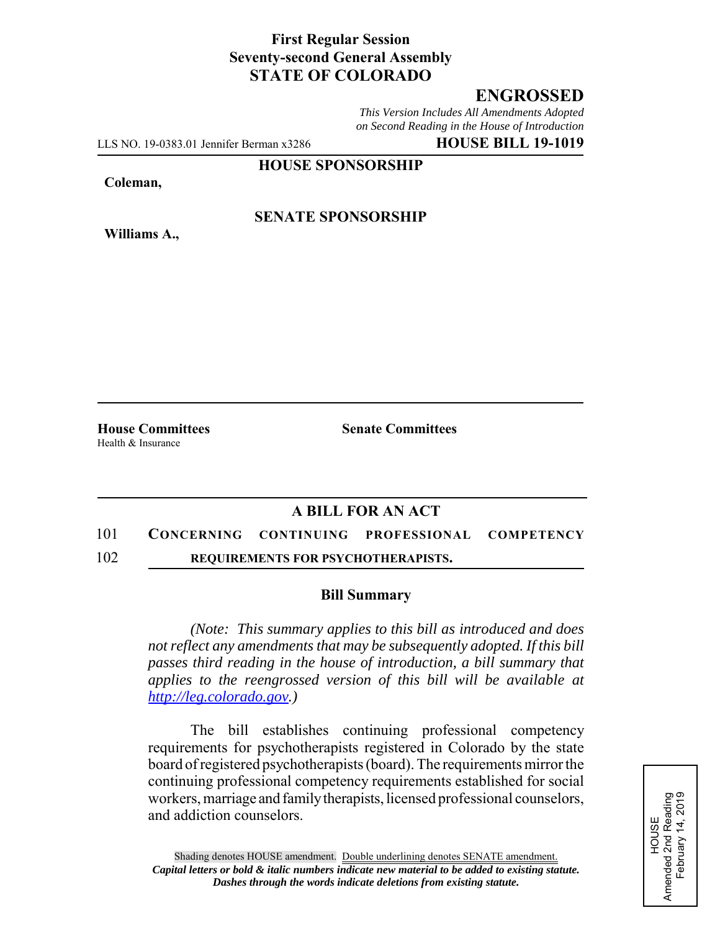## **First Regular Session Seventy-second General Assembly STATE OF COLORADO**

## **ENGROSSED**

*This Version Includes All Amendments Adopted on Second Reading in the House of Introduction*

LLS NO. 19-0383.01 Jennifer Berman x3286 **HOUSE BILL 19-1019**

**HOUSE SPONSORSHIP**

**Coleman,**

**Williams A.,**

### **SENATE SPONSORSHIP**

Health & Insurance

**House Committees Senate Committees** 

# **A BILL FOR AN ACT**

#### 101 **CONCERNING CONTINUING PROFESSIONAL COMPETENCY**

102 **REQUIREMENTS FOR PSYCHOTHERAPISTS.**

#### **Bill Summary**

*(Note: This summary applies to this bill as introduced and does not reflect any amendments that may be subsequently adopted. If this bill passes third reading in the house of introduction, a bill summary that applies to the reengrossed version of this bill will be available at http://leg.colorado.gov.)*

The bill establishes continuing professional competency requirements for psychotherapists registered in Colorado by the state board of registered psychotherapists (board). The requirements mirror the continuing professional competency requirements established for social workers, marriage and family therapists, licensed professional counselors, and addiction counselors.

HOUSE<br>Amended 2nd Reading<br>February 14, 2019 Amended 2nd Reading February 14, 2019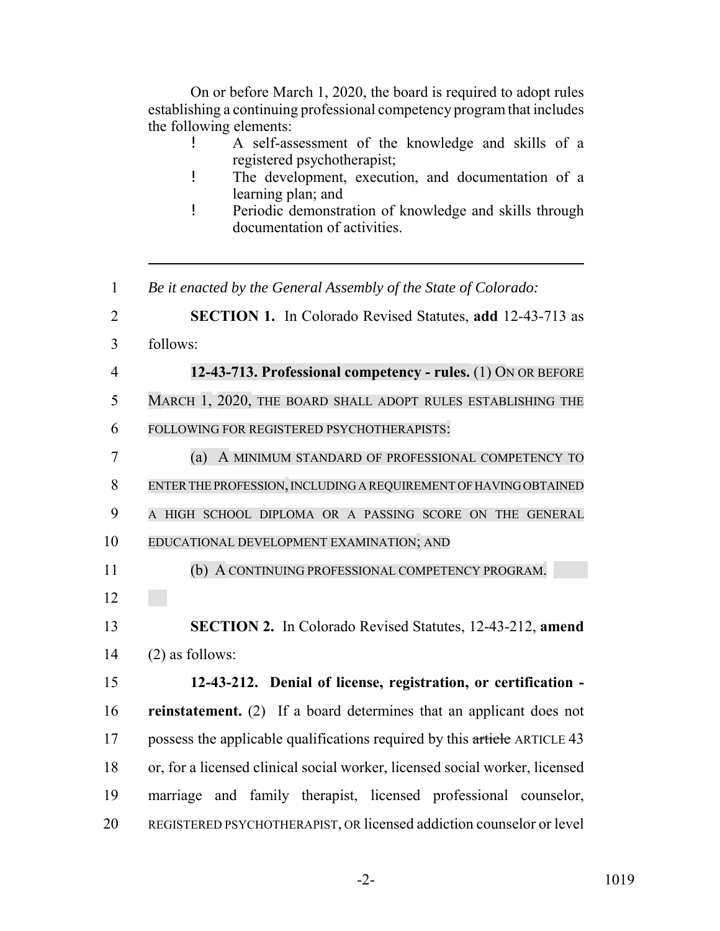On or before March 1, 2020, the board is required to adopt rules establishing a continuing professional competency program that includes the following elements:

- ! A self-assessment of the knowledge and skills of a registered psychotherapist;
- ! The development, execution, and documentation of a learning plan; and
- ! Periodic demonstration of knowledge and skills through documentation of activities.

 *Be it enacted by the General Assembly of the State of Colorado:* **SECTION 1.** In Colorado Revised Statutes, **add** 12-43-713 as follows: **12-43-713. Professional competency - rules.** (1) ON OR BEFORE MARCH 1, 2020, THE BOARD SHALL ADOPT RULES ESTABLISHING THE FOLLOWING FOR REGISTERED PSYCHOTHERAPISTS: (a) A MINIMUM STANDARD OF PROFESSIONAL COMPETENCY TO ENTER THE PROFESSION, INCLUDING A REQUIREMENT OF HAVING OBTAINED A HIGH SCHOOL DIPLOMA OR A PASSING SCORE ON THE GENERAL EDUCATIONAL DEVELOPMENT EXAMINATION; AND (b) A CONTINUING PROFESSIONAL COMPETENCY PROGRAM. **SECTION 2.** In Colorado Revised Statutes, 12-43-212, **amend** (2) as follows: **12-43-212. Denial of license, registration, or certification - reinstatement.** (2) If a board determines that an applicant does not 17 possess the applicable qualifications required by this article ARTICLE 43 or, for a licensed clinical social worker, licensed social worker, licensed marriage and family therapist, licensed professional counselor, REGISTERED PSYCHOTHERAPIST, OR licensed addiction counselor or level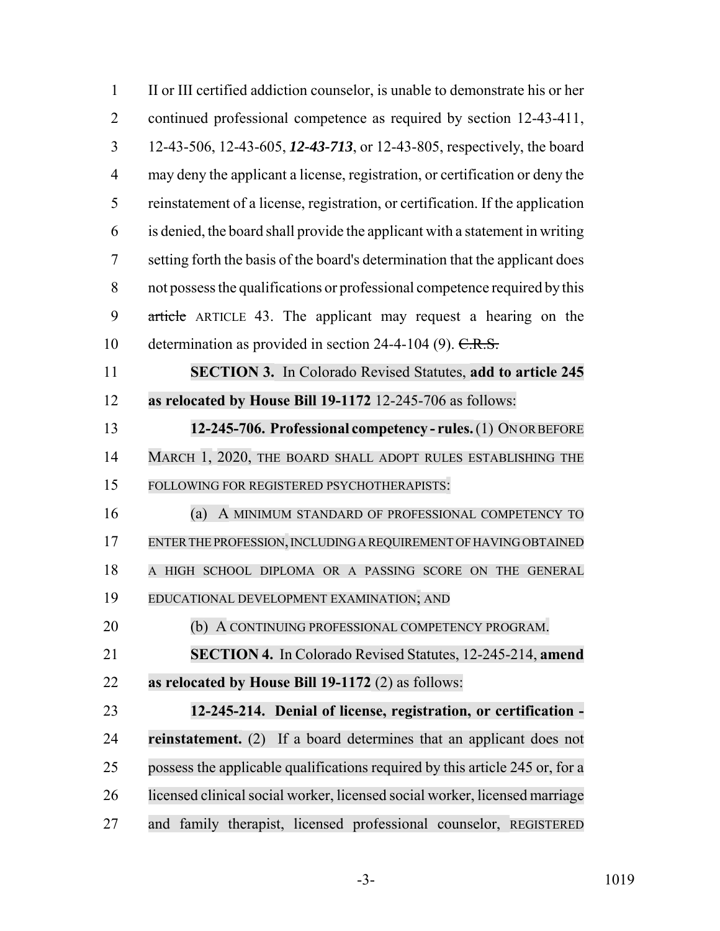| $\mathbf{1}$   | II or III certified addiction counselor, is unable to demonstrate his or her   |
|----------------|--------------------------------------------------------------------------------|
| $\overline{2}$ | continued professional competence as required by section 12-43-411,            |
| 3              | 12-43-506, 12-43-605, 12-43-713, or 12-43-805, respectively, the board         |
| $\overline{4}$ | may deny the applicant a license, registration, or certification or deny the   |
| 5              | reinstatement of a license, registration, or certification. If the application |
| 6              | is denied, the board shall provide the applicant with a statement in writing   |
| 7              | setting forth the basis of the board's determination that the applicant does   |
| 8              | not possess the qualifications or professional competence required by this     |
| 9              | article ARTICLE 43. The applicant may request a hearing on the                 |
| 10             | determination as provided in section 24-4-104 (9). $C.R.S.$                    |
| 11             | <b>SECTION 3.</b> In Colorado Revised Statutes, add to article 245             |
| 12             | as relocated by House Bill 19-1172 12-245-706 as follows:                      |
| 13             | 12-245-706. Professional competency - rules. (1) ONOR BEFORE                   |
| 14             | MARCH 1, 2020, THE BOARD SHALL ADOPT RULES ESTABLISHING THE                    |
| 15             | FOLLOWING FOR REGISTERED PSYCHOTHERAPISTS:                                     |
| 16             | (a)<br>A MINIMUM STANDARD OF PROFESSIONAL COMPETENCY TO                        |
| 17             | ENTER THE PROFESSION, INCLUDING A REQUIREMENT OF HAVING OBTAINED               |
| 18             | A HIGH SCHOOL DIPLOMA OR A PASSING SCORE ON THE GENERAL                        |
| 19             | EDUCATIONAL DEVELOPMENT EXAMINATION; AND                                       |
| 20             | (b) A CONTINUING PROFESSIONAL COMPETENCY PROGRAM.                              |
| 21             | <b>SECTION 4.</b> In Colorado Revised Statutes, 12-245-214, amend              |
| 22             | as relocated by House Bill 19-1172 (2) as follows:                             |
| 23             | 12-245-214. Denial of license, registration, or certification -                |
| 24             | reinstatement. (2) If a board determines that an applicant does not            |
| 25             | possess the applicable qualifications required by this article 245 or, for a   |
| 26             | licensed clinical social worker, licensed social worker, licensed marriage     |
| 27             | and family therapist, licensed professional counselor, REGISTERED              |